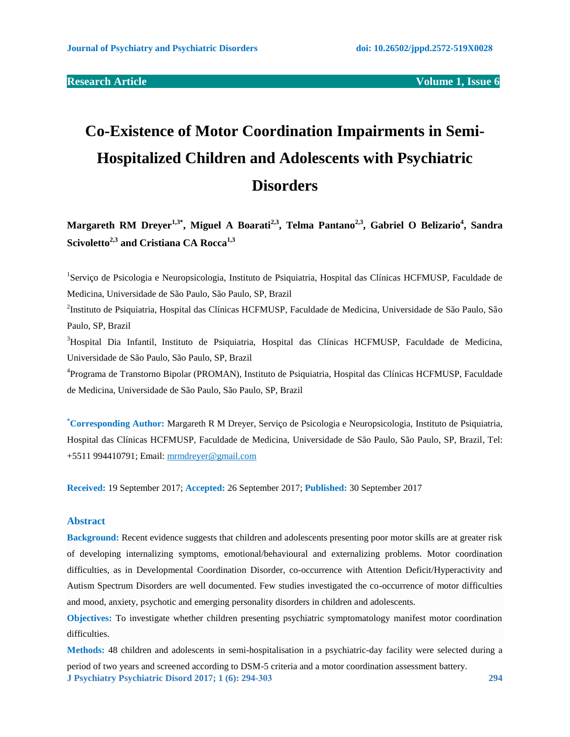# **Co-Existence of Motor Coordination Impairments in Semi-Hospitalized Children and Adolescents with Psychiatric Disorders**

**Margareth RM Dreyer1,3\* , Miguel A Boarati2,3, Telma Pantano2,3 , Gabriel O Belizario<sup>4</sup> , Sandra Scivoletto2,3 and Cristiana CA Rocca1,3**

<sup>1</sup>Serviço de Psicologia e Neuropsicologia, Instituto de Psiquiatria, Hospital das Clínicas HCFMUSP, Faculdade de Medicina, Universidade de São Paulo, São Paulo, SP, Brazil

2 Instituto de Psiquiatria, Hospital das Clínicas HCFMUSP, Faculdade de Medicina, Universidade de São Paulo, São Paulo, SP, Brazil

<sup>3</sup>Hospital Dia Infantil, Instituto de Psiquiatria, Hospital das Clínicas HCFMUSP, Faculdade de Medicina, Universidade de São Paulo, São Paulo, SP, Brazil

4 Programa de Transtorno Bipolar (PROMAN), Instituto de Psiquiatria, Hospital das Clínicas HCFMUSP, Faculdade de Medicina, Universidade de São Paulo, São Paulo, SP, Brazil

**\*Corresponding Author:** Margareth R M Dreyer, Serviço de Psicologia e Neuropsicologia, Instituto de Psiquiatria, Hospital das Clínicas HCFMUSP, Faculdade de Medicina, Universidade de São Paulo, São Paulo, SP, Brazil, Tel: +5511 994410791; Email: [mrmdreyer@gmail.com](mailto:mrmdreyer@gmail.com)

**Received:** 19 September 2017; **Accepted:** 26 September 2017; **Published:** 30 September 2017

# **Abstract**

**Background:** Recent evidence suggests that children and adolescents presenting poor motor skills are at greater risk of developing internalizing symptoms, emotional/behavioural and externalizing problems. Motor coordination difficulties, as in Developmental Coordination Disorder, co-occurrence with Attention Deficit/Hyperactivity and Autism Spectrum Disorders are well documented. Few studies investigated the co-occurrence of motor difficulties and mood, anxiety, psychotic and emerging personality disorders in children and adolescents.

**Objectives:** To investigate whether children presenting psychiatric symptomatology manifest motor coordination difficulties.

**J Psychiatry Psychiatric Disord 2017; 1 (6): 294-303 294 Methods:** 48 children and adolescents in semi-hospitalisation in a psychiatric-day facility were selected during a period of two years and screened according to DSM-5 criteria and a motor coordination assessment battery.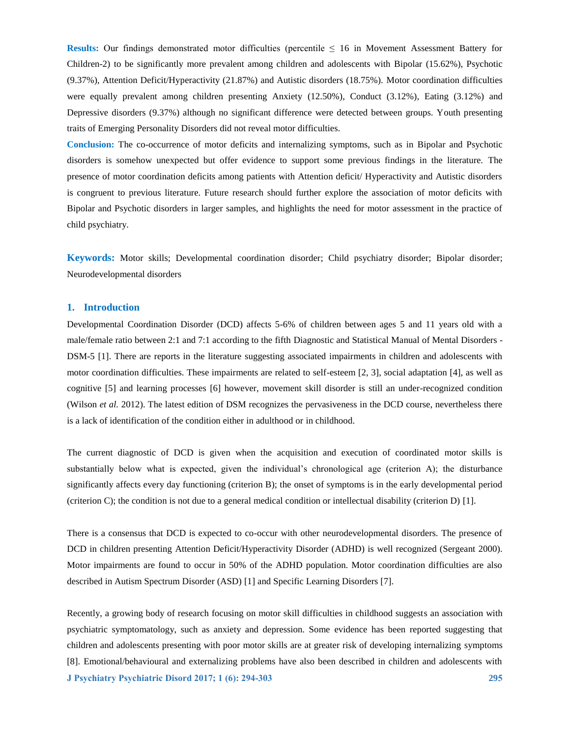**Results:** Our findings demonstrated motor difficulties (percentile ≤ 16 in Movement Assessment Battery for Children-2) to be significantly more prevalent among children and adolescents with Bipolar (15.62%), Psychotic (9.37%), Attention Deficit/Hyperactivity (21.87%) and Autistic disorders (18.75%). Motor coordination difficulties were equally prevalent among children presenting Anxiety (12.50%), Conduct (3.12%), Eating (3.12%) and Depressive disorders (9.37%) although no significant difference were detected between groups. Youth presenting traits of Emerging Personality Disorders did not reveal motor difficulties.

**Conclusion:** The co-occurrence of motor deficits and internalizing symptoms, such as in Bipolar and Psychotic disorders is somehow unexpected but offer evidence to support some previous findings in the literature. The presence of motor coordination deficits among patients with Attention deficit/ Hyperactivity and Autistic disorders is congruent to previous literature. Future research should further explore the association of motor deficits with Bipolar and Psychotic disorders in larger samples, and highlights the need for motor assessment in the practice of child psychiatry.

**Keywords:** Motor skills; Developmental coordination disorder; Child psychiatry disorder; Bipolar disorder; Neurodevelopmental disorders

# **1. Introduction**

Developmental Coordination Disorder (DCD) affects 5-6% of children between ages 5 and 11 years old with a male/female ratio between 2:1 and 7:1 according to the fifth Diagnostic and Statistical Manual of Mental Disorders - DSM-5 [1]. There are reports in the literature suggesting associated impairments in children and adolescents with motor coordination difficulties. These impairments are related to self-esteem [2, 3], social adaptation [4], as well as cognitive [5] and learning processes [6] however, movement skill disorder is still an under-recognized condition (Wilson *et al.* 2012). The latest edition of DSM recognizes the pervasiveness in the DCD course, nevertheless there is a lack of identification of the condition either in adulthood or in childhood.

The current diagnostic of DCD is given when the acquisition and execution of coordinated motor skills is substantially below what is expected, given the individual's chronological age (criterion A); the disturbance significantly affects every day functioning (criterion B); the onset of symptoms is in the early developmental period (criterion C); the condition is not due to a general medical condition or intellectual disability (criterion D) [1].

There is a consensus that DCD is expected to co-occur with other neurodevelopmental disorders. The presence of DCD in children presenting Attention Deficit/Hyperactivity Disorder (ADHD) is well recognized (Sergeant 2000). Motor impairments are found to occur in 50% of the ADHD population. Motor coordination difficulties are also described in Autism Spectrum Disorder (ASD) [1] and Specific Learning Disorders [7].

**J Psychiatry Psychiatric Disord 2017; 1 (6): 294-303 295** Recently, a growing body of research focusing on motor skill difficulties in childhood suggests an association with psychiatric symptomatology, such as anxiety and depression. Some evidence has been reported suggesting that children and adolescents presenting with poor motor skills are at greater risk of developing internalizing symptoms [8]. Emotional/behavioural and externalizing problems have also been described in children and adolescents with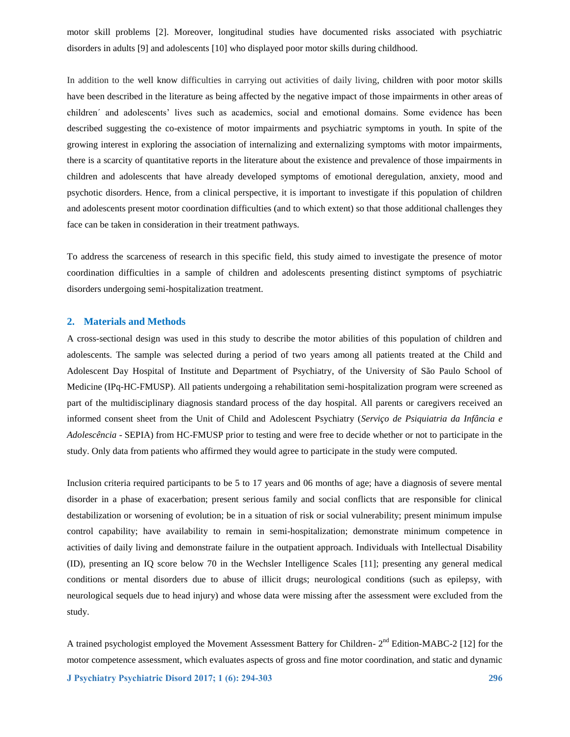motor skill problems [2]. Moreover, longitudinal studies have documented risks associated with psychiatric disorders in adults [9] and adolescents [10] who displayed poor motor skills during childhood.

In addition to the well know difficulties in carrying out activities of daily living, children with poor motor skills have been described in the literature as being affected by the negative impact of those impairments in other areas of children´ and adolescents' lives such as academics, social and emotional domains. Some evidence has been described suggesting the co-existence of motor impairments and psychiatric symptoms in youth. In spite of the growing interest in exploring the association of internalizing and externalizing symptoms with motor impairments, there is a scarcity of quantitative reports in the literature about the existence and prevalence of those impairments in children and adolescents that have already developed symptoms of emotional deregulation, anxiety, mood and psychotic disorders. Hence, from a clinical perspective, it is important to investigate if this population of children and adolescents present motor coordination difficulties (and to which extent) so that those additional challenges they face can be taken in consideration in their treatment pathways.

To address the scarceness of research in this specific field, this study aimed to investigate the presence of motor coordination difficulties in a sample of children and adolescents presenting distinct symptoms of psychiatric disorders undergoing semi-hospitalization treatment.

#### **2. Materials and Methods**

A cross-sectional design was used in this study to describe the motor abilities of this population of children and adolescents. The sample was selected during a period of two years among all patients treated at the Child and Adolescent Day Hospital of Institute and Department of Psychiatry, of the University of São Paulo School of Medicine (IPq-HC-FMUSP). All patients undergoing a rehabilitation semi-hospitalization program were screened as part of the multidisciplinary diagnosis standard process of the day hospital. All parents or caregivers received an informed consent sheet from the Unit of Child and Adolescent Psychiatry (*Serviço de Psiquiatria da Infância e Adolescência* - SEPIA) from HC-FMUSP prior to testing and were free to decide whether or not to participate in the study. Only data from patients who affirmed they would agree to participate in the study were computed.

Inclusion criteria required participants to be 5 to 17 years and 06 months of age; have a diagnosis of severe mental disorder in a phase of exacerbation; present serious family and social conflicts that are responsible for clinical destabilization or worsening of evolution; be in a situation of risk or social vulnerability; present minimum impulse control capability; have availability to remain in semi-hospitalization; demonstrate minimum competence in activities of daily living and demonstrate failure in the outpatient approach. Individuals with Intellectual Disability (ID), presenting an IQ score below 70 in the Wechsler Intelligence Scales [11]; presenting any general medical conditions or mental disorders due to abuse of illicit drugs; neurological conditions (such as epilepsy, with neurological sequels due to head injury) and whose data were missing after the assessment were excluded from the study.

A trained psychologist employed the Movement Assessment Battery for Children-  $2<sup>nd</sup>$  Edition-MABC-2 [12] for the motor competence assessment, which evaluates aspects of gross and fine motor coordination, and static and dynamic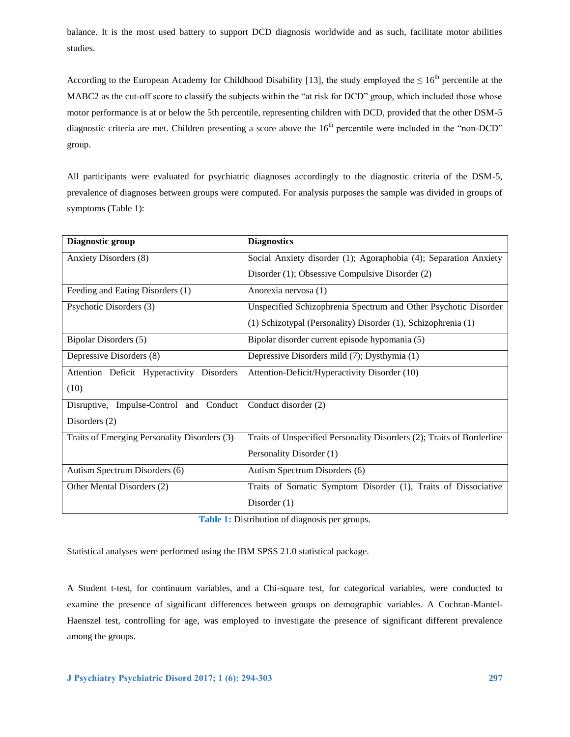balance. It is the most used battery to support DCD diagnosis worldwide and as such, facilitate motor abilities studies.

According to the European Academy for Childhood Disability [13], the study employed the  $\leq 16^{th}$  percentile at the MABC2 as the cut-off score to classify the subjects within the "at risk for DCD" group, which included those whose motor performance is at or below the 5th percentile, representing children with DCD, provided that the other DSM-5 diagnostic criteria are met. Children presenting a score above the 16<sup>th</sup> percentile were included in the "non-DCD" group.

All participants were evaluated for psychiatric diagnoses accordingly to the diagnostic criteria of the DSM-5, prevalence of diagnoses between groups were computed. For analysis purposes the sample was divided in groups of symptoms (Table 1):

| Diagnostic group                             | <b>Diagnostics</b>                                                    |  |
|----------------------------------------------|-----------------------------------------------------------------------|--|
| Anxiety Disorders (8)                        | Social Anxiety disorder (1); Agoraphobia (4); Separation Anxiety      |  |
|                                              | Disorder (1); Obsessive Compulsive Disorder (2)                       |  |
| Feeding and Eating Disorders (1)             | Anorexia nervosa (1)                                                  |  |
| Psychotic Disorders (3)                      | Unspecified Schizophrenia Spectrum and Other Psychotic Disorder       |  |
|                                              | (1) Schizotypal (Personality) Disorder (1), Schizophrenia (1)         |  |
| Bipolar Disorders (5)                        | Bipolar disorder current episode hypomania (5)                        |  |
| Depressive Disorders (8)                     | Depressive Disorders mild (7); Dysthymia (1)                          |  |
| Attention Deficit Hyperactivity Disorders    | Attention-Deficit/Hyperactivity Disorder (10)                         |  |
| (10)                                         |                                                                       |  |
| Conduct<br>Disruptive, Impulse-Control and   | Conduct disorder (2)                                                  |  |
| Disorders $(2)$                              |                                                                       |  |
| Traits of Emerging Personality Disorders (3) | Traits of Unspecified Personality Disorders (2); Traits of Borderline |  |
|                                              | Personality Disorder (1)                                              |  |
| Autism Spectrum Disorders (6)                | Autism Spectrum Disorders (6)                                         |  |
| Other Mental Disorders (2)                   | Traits of Somatic Symptom Disorder (1), Traits of Dissociative        |  |
|                                              | Disorder $(1)$                                                        |  |

**Table 1:** Distribution of diagnosis per groups.

Statistical analyses were performed using the IBM SPSS 21.0 statistical package.

A Student t-test, for continuum variables, and a Chi-square test, for categorical variables, were conducted to examine the presence of significant differences between groups on demographic variables. A Cochran-Mantel-Haenszel test, controlling for age, was employed to investigate the presence of significant different prevalence among the groups.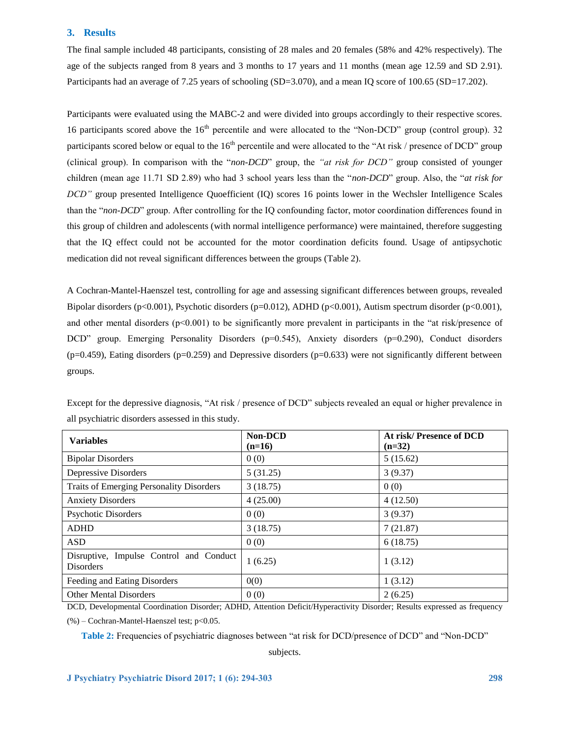# **3. Results**

The final sample included 48 participants, consisting of 28 males and 20 females (58% and 42% respectively). The age of the subjects ranged from 8 years and 3 months to 17 years and 11 months (mean age 12.59 and SD 2.91). Participants had an average of 7.25 years of schooling (SD=3.070), and a mean IQ score of 100.65 (SD=17.202).

Participants were evaluated using the MABC-2 and were divided into groups accordingly to their respective scores. 16 participants scored above the 16<sup>th</sup> percentile and were allocated to the "Non-DCD" group (control group). 32 participants scored below or equal to the  $16<sup>th</sup>$  percentile and were allocated to the "At risk / presence of DCD" group (clinical group). In comparison with the "*non-DCD*" group, the *"at risk for DCD"* group consisted of younger children (mean age 11.71 SD 2.89) who had 3 school years less than the "*non-DCD*" group. Also, the "*at risk for DCD"* group presented Intelligence Quoefficient (IQ) scores 16 points lower in the Wechsler Intelligence Scales than the "*non-DCD*" group. After controlling for the IQ confounding factor, motor coordination differences found in this group of children and adolescents (with normal intelligence performance) were maintained, therefore suggesting that the IQ effect could not be accounted for the motor coordination deficits found. Usage of antipsychotic medication did not reveal significant differences between the groups (Table 2).

A Cochran-Mantel-Haenszel test, controlling for age and assessing significant differences between groups, revealed Bipolar disorders (p<0.001), Psychotic disorders (p=0.012), ADHD (p<0.001), Autism spectrum disorder (p<0.001), and other mental disorders ( $p<0.001$ ) to be significantly more prevalent in participants in the "at risk/presence of DCD" group. Emerging Personality Disorders (p=0.545), Anxiety disorders (p=0.290), Conduct disorders  $(p=0.459)$ , Eating disorders (p=0.259) and Depressive disorders (p=0.633) were not significantly different between groups.

| <b>Variables</b>                                            | Non-DCD<br>$(n=16)$ | At risk/Presence of DCD<br>$(n=32)$ |
|-------------------------------------------------------------|---------------------|-------------------------------------|
| <b>Bipolar Disorders</b>                                    | 0(0)                | 5(15.62)                            |
| Depressive Disorders                                        | 5(31.25)            | 3(9.37)                             |
| <b>Traits of Emerging Personality Disorders</b>             | 3(18.75)            | 0(0)                                |
| <b>Anxiety Disorders</b>                                    | 4(25.00)            | 4(12.50)                            |
| <b>Psychotic Disorders</b>                                  | 0(0)                | 3(9.37)                             |
| <b>ADHD</b>                                                 | 3(18.75)            | 7(21.87)                            |
| <b>ASD</b>                                                  | 0(0)                | 6(18.75)                            |
| Disruptive, Impulse Control and Conduct<br><b>Disorders</b> | 1(6.25)             | 1(3.12)                             |
| Feeding and Eating Disorders                                | 0(0)                | 1(3.12)                             |
| <b>Other Mental Disorders</b>                               | 0(0)                | 2(6.25)                             |

Except for the depressive diagnosis, "At risk / presence of DCD" subjects revealed an equal or higher prevalence in all psychiatric disorders assessed in this study.

DCD, Developmental Coordination Disorder; ADHD, Attention Deficit/Hyperactivity Disorder; Results expressed as frequency  $(\% )$  – Cochran-Mantel-Haenszel test; p<0.05.

**Table 2:** Frequencies of psychiatric diagnoses between "at risk for DCD/presence of DCD" and "Non-DCD"

subjects.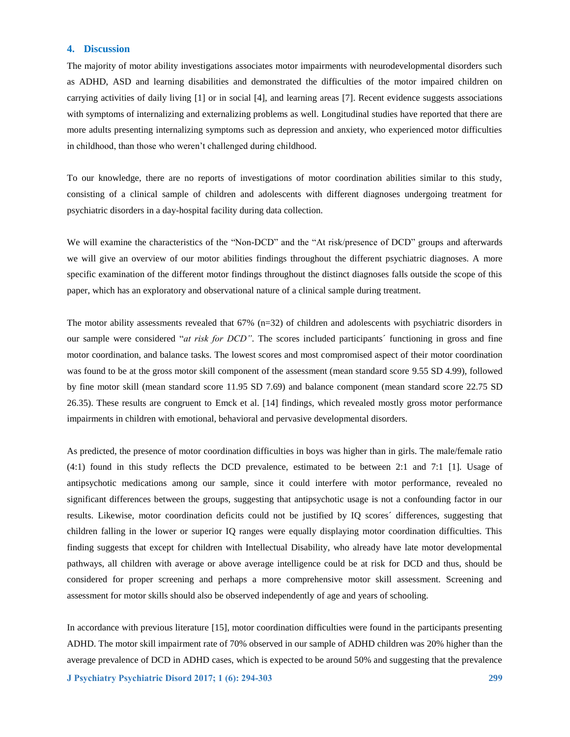#### **4. Discussion**

The majority of motor ability investigations associates motor impairments with neurodevelopmental disorders such as ADHD, ASD and learning disabilities and demonstrated the difficulties of the motor impaired children on carrying activities of daily living [1] or in social [4], and learning areas [7]. Recent evidence suggests associations with symptoms of internalizing and externalizing problems as well. Longitudinal studies have reported that there are more adults presenting internalizing symptoms such as depression and anxiety, who experienced motor difficulties in childhood, than those who weren't challenged during childhood.

To our knowledge, there are no reports of investigations of motor coordination abilities similar to this study, consisting of a clinical sample of children and adolescents with different diagnoses undergoing treatment for psychiatric disorders in a day-hospital facility during data collection.

We will examine the characteristics of the "Non-DCD" and the "At risk/presence of DCD" groups and afterwards we will give an overview of our motor abilities findings throughout the different psychiatric diagnoses. A more specific examination of the different motor findings throughout the distinct diagnoses falls outside the scope of this paper, which has an exploratory and observational nature of a clinical sample during treatment.

The motor ability assessments revealed that 67% (n=32) of children and adolescents with psychiatric disorders in our sample were considered "*at risk for DCD"*. The scores included participants´ functioning in gross and fine motor coordination, and balance tasks. The lowest scores and most compromised aspect of their motor coordination was found to be at the gross motor skill component of the assessment (mean standard score 9.55 SD 4.99), followed by fine motor skill (mean standard score 11.95 SD 7.69) and balance component (mean standard score 22.75 SD 26.35). These results are congruent to Emck et al. [14] findings, which revealed mostly gross motor performance impairments in children with emotional, behavioral and pervasive developmental disorders.

As predicted, the presence of motor coordination difficulties in boys was higher than in girls. The male/female ratio (4:1) found in this study reflects the DCD prevalence, estimated to be between 2:1 and 7:1 [1]. Usage of antipsychotic medications among our sample, since it could interfere with motor performance, revealed no significant differences between the groups, suggesting that antipsychotic usage is not a confounding factor in our results. Likewise, motor coordination deficits could not be justified by IQ scores´ differences, suggesting that children falling in the lower or superior IQ ranges were equally displaying motor coordination difficulties. This finding suggests that except for children with Intellectual Disability, who already have late motor developmental pathways, all children with average or above average intelligence could be at risk for DCD and thus, should be considered for proper screening and perhaps a more comprehensive motor skill assessment. Screening and assessment for motor skills should also be observed independently of age and years of schooling.

In accordance with previous literature [15], motor coordination difficulties were found in the participants presenting ADHD. The motor skill impairment rate of 70% observed in our sample of ADHD children was 20% higher than the average prevalence of DCD in ADHD cases, which is expected to be around 50% and suggesting that the prevalence

**J Psychiatry Psychiatric Disord 2017; 1 (6): 294-303 299**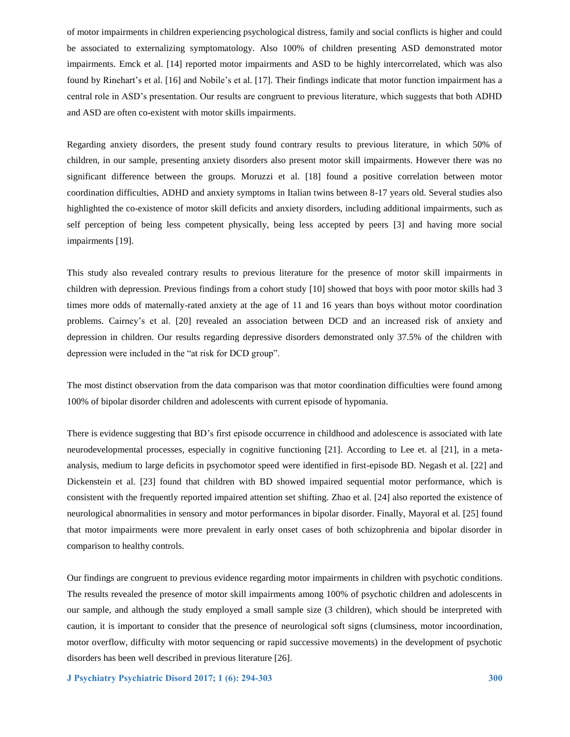of motor impairments in children experiencing psychological distress, family and social conflicts is higher and could be associated to externalizing symptomatology. Also 100% of children presenting ASD demonstrated motor impairments. Emck et al. [14] reported motor impairments and ASD to be highly intercorrelated, which was also found by Rinehart's et al. [16] and Nobile's et al. [17]. Their findings indicate that motor function impairment has a central role in ASD's presentation. Our results are congruent to previous literature, which suggests that both ADHD and ASD are often co-existent with motor skills impairments.

Regarding anxiety disorders, the present study found contrary results to previous literature, in which 50% of children, in our sample, presenting anxiety disorders also present motor skill impairments. However there was no significant difference between the groups. Moruzzi et al. [18] found a positive correlation between motor coordination difficulties, ADHD and anxiety symptoms in Italian twins between 8-17 years old. Several studies also highlighted the co-existence of motor skill deficits and anxiety disorders, including additional impairments, such as self perception of being less competent physically, being less accepted by peers [3] and having more social impairments [19].

This study also revealed contrary results to previous literature for the presence of motor skill impairments in children with depression. Previous findings from a cohort study [10] showed that boys with poor motor skills had 3 times more odds of maternally-rated anxiety at the age of 11 and 16 years than boys without motor coordination problems. Cairney's et al. [20] revealed an association between DCD and an increased risk of anxiety and depression in children. Our results regarding depressive disorders demonstrated only 37.5% of the children with depression were included in the "at risk for DCD group".

The most distinct observation from the data comparison was that motor coordination difficulties were found among 100% of bipolar disorder children and adolescents with current episode of hypomania.

There is evidence suggesting that BD's first episode occurrence in childhood and adolescence is associated with late neurodevelopmental processes, especially in cognitive functioning [21]. According to Lee et. al [21], in a metaanalysis, medium to large deficits in psychomotor speed were identified in first-episode BD. Negash et al. [22] and Dickenstein et al. [23] found that children with BD showed impaired sequential motor performance, which is consistent with the frequently reported impaired attention set shifting. Zhao et al. [24] also reported the existence of neurological abnormalities in sensory and motor performances in bipolar disorder. Finally, Mayoral et al. [25] found that motor impairments were more prevalent in early onset cases of both schizophrenia and bipolar disorder in comparison to healthy controls.

Our findings are congruent to previous evidence regarding motor impairments in children with psychotic conditions. The results revealed the presence of motor skill impairments among 100% of psychotic children and adolescents in our sample, and although the study employed a small sample size (3 children), which should be interpreted with caution, it is important to consider that the presence of neurological soft signs (clumsiness, motor incoordination, motor overflow, difficulty with motor sequencing or rapid successive movements) in the development of psychotic disorders has been well described in previous literature [26].

**J Psychiatry Psychiatric Disord 2017; 1 (6): 294-303 300**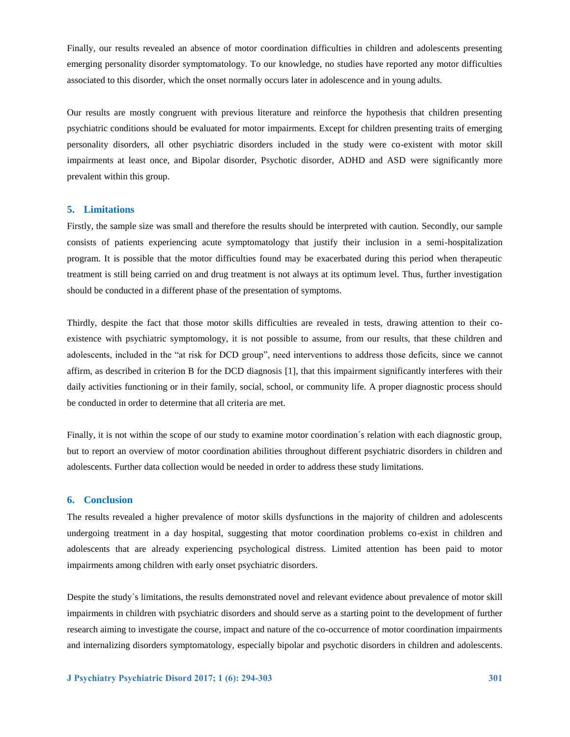Finally, our results revealed an absence of motor coordination difficulties in children and adolescents presenting emerging personality disorder symptomatology. To our knowledge, no studies have reported any motor difficulties associated to this disorder, which the onset normally occurs later in adolescence and in young adults.

Our results are mostly congruent with previous literature and reinforce the hypothesis that children presenting psychiatric conditions should be evaluated for motor impairments. Except for children presenting traits of emerging personality disorders, all other psychiatric disorders included in the study were co-existent with motor skill impairments at least once, and Bipolar disorder, Psychotic disorder, ADHD and ASD were significantly more prevalent within this group.

## **5. Limitations**

Firstly, the sample size was small and therefore the results should be interpreted with caution. Secondly, our sample consists of patients experiencing acute symptomatology that justify their inclusion in a semi-hospitalization program. It is possible that the motor difficulties found may be exacerbated during this period when therapeutic treatment is still being carried on and drug treatment is not always at its optimum level. Thus, further investigation should be conducted in a different phase of the presentation of symptoms.

Thirdly, despite the fact that those motor skills difficulties are revealed in tests, drawing attention to their coexistence with psychiatric symptomology, it is not possible to assume, from our results, that these children and adolescents, included in the "at risk for DCD group", need interventions to address those deficits, since we cannot affirm, as described in criterion B for the DCD diagnosis [1], that this impairment significantly interferes with their daily activities functioning or in their family, social, school, or community life. A proper diagnostic process should be conducted in order to determine that all criteria are met.

Finally, it is not within the scope of our study to examine motor coordination's relation with each diagnostic group, but to report an overview of motor coordination abilities throughout different psychiatric disorders in children and adolescents. Further data collection would be needed in order to address these study limitations.

#### **6. Conclusion**

The results revealed a higher prevalence of motor skills dysfunctions in the majority of children and adolescents undergoing treatment in a day hospital, suggesting that motor coordination problems co-exist in children and adolescents that are already experiencing psychological distress. Limited attention has been paid to motor impairments among children with early onset psychiatric disorders.

Despite the study´s limitations, the results demonstrated novel and relevant evidence about prevalence of motor skill impairments in children with psychiatric disorders and should serve as a starting point to the development of further research aiming to investigate the course, impact and nature of the co-occurrence of motor coordination impairments and internalizing disorders symptomatology, especially bipolar and psychotic disorders in children and adolescents.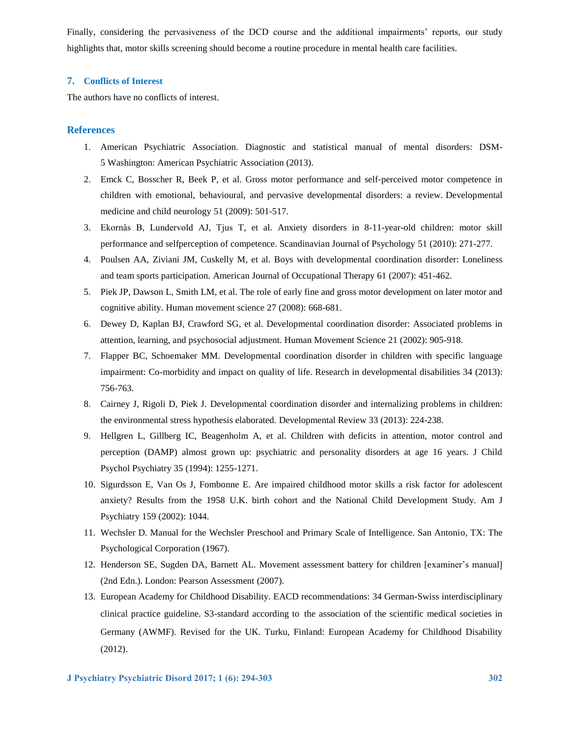Finally, considering the pervasiveness of the DCD course and the additional impairments' reports, our study highlights that, motor skills screening should become a routine procedure in mental health care facilities.

### **7. Conflicts of Interest**

The authors have no conflicts of interest.

## **References**

- 1. American Psychiatric Association. Diagnostic and statistical manual of mental disorders: DSM-5 Washington: American Psychiatric Association (2013).
- 2. Emck C, Bosscher R, Beek P, et al. Gross motor performance and self-perceived motor competence in children with emotional, behavioural, and pervasive developmental disorders: a review. Developmental medicine and child neurology 51 (2009): 501-517.
- 3. Ekornås B, Lundervold AJ, Tjus T, et al. Anxiety disorders in 8-11-year-old children: motor skill performance and selfperception of competence. Scandinavian Journal of Psychology 51 (2010): 271-277.
- 4. Poulsen AA, Ziviani JM, Cuskelly M, et al. Boys with developmental coordination disorder: Loneliness and team sports participation. American Journal of Occupational Therapy 61 (2007): 451-462.
- 5. Piek JP, Dawson L, Smith LM, et al. The role of early fine and gross motor development on later motor and cognitive ability. Human movement science 27 (2008): 668-681.
- 6. Dewey D, Kaplan BJ, Crawford SG, et al. Developmental coordination disorder: Associated problems in attention, learning, and psychosocial adjustment. Human Movement Science 21 (2002): 905-918.
- 7. Flapper BC, Schoemaker MM. Developmental coordination disorder in children with specific language impairment: Co-morbidity and impact on quality of life. Research in developmental disabilities 34 (2013): 756-763.
- 8. Cairney J, Rigoli D, Piek J. Developmental coordination disorder and internalizing problems in children: the environmental stress hypothesis elaborated. Developmental Review 33 (2013): 224-238.
- 9. Hellgren L, Gillberg IC, Beagenholm A, et al. Children with deficits in attention, motor control and perception (DAMP) almost grown up: psychiatric and personality disorders at age 16 years. J Child Psychol Psychiatry 35 (1994): 1255-1271.
- 10. Sigurdsson E, Van Os J, Fombonne E. Are impaired childhood motor skills a risk factor for adolescent anxiety? Results from the 1958 U.K. birth cohort and the National Child Development Study. Am J Psychiatry 159 (2002): 1044.
- 11. Wechsler D. Manual for the Wechsler Preschool and Primary Scale of Intelligence. San Antonio, TX: The Psychological Corporation (1967).
- 12. Henderson SE, Sugden DA, Barnett AL. Movement assessment battery for children [examiner's manual] (2nd Edn.). London: Pearson Assessment (2007).
- 13. European Academy for Childhood Disability. EACD recommendations: 34 German-Swiss interdisciplinary clinical practice guideline. S3-standard according to the association of the scientific medical societies in Germany (AWMF). Revised for the UK. Turku, Finland: European Academy for Childhood Disability (2012).